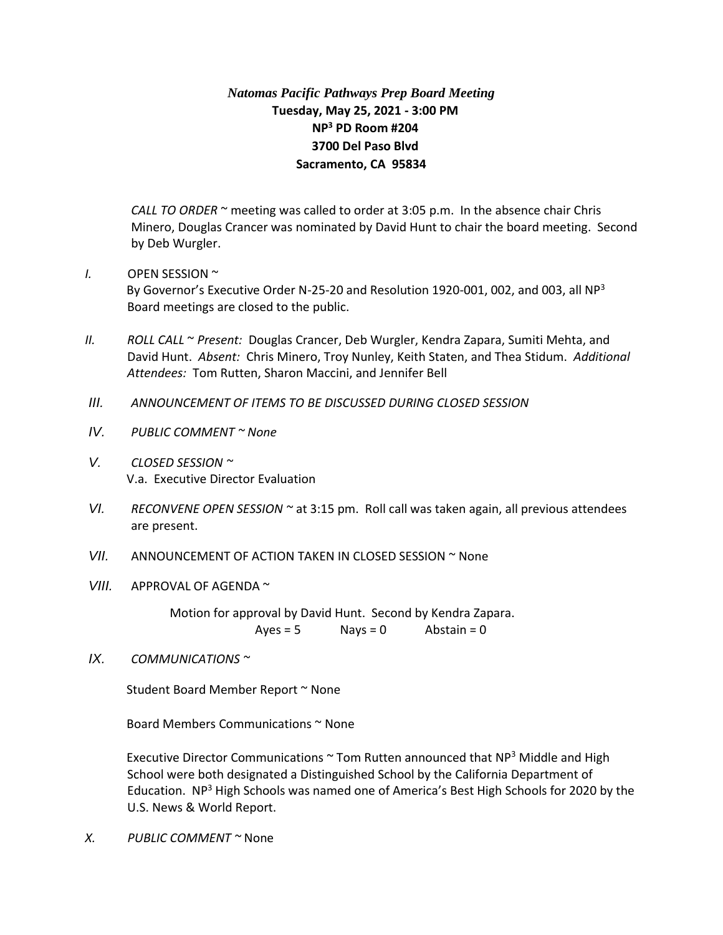## *Natomas Pacific Pathways Prep Board Meeting* **Tuesday, May 25, 2021 - 3:00 PM NP<sup>3</sup> PD Room #204 3700 Del Paso Blvd Sacramento, CA 95834**

*CALL TO ORDER* ~ meeting was called to order at 3:05 p.m. In the absence chair Chris Minero, Douglas Crancer was nominated by David Hunt to chair the board meeting. Second by Deb Wurgler.

- *I.* OPEN SESSION ~ By Governor's Executive Order N-25-20 and Resolution 1920-001, 002, and 003, all NP<sup>3</sup> Board meetings are closed to the public.
- *II. ROLL CALL* ~ *Present:* Douglas Crancer, Deb Wurgler, Kendra Zapara, Sumiti Mehta, and David Hunt. *Absent:* Chris Minero, Troy Nunley, Keith Staten, and Thea Stidum. *Additional Attendees:* Tom Rutten, Sharon Maccini, and Jennifer Bell
- *III. ANNOUNCEMENT OF ITEMS TO BE DISCUSSED DURING CLOSED SESSION*
- *IV. PUBLIC COMMENT ~ None*
- *V. CLOSED SESSION ~*  V.a. Executive Director Evaluation
- *VI. RECONVENE OPEN SESSION ~* at 3:15 pm. Roll call was taken again, all previous attendees are present.
- *VII.* ANNOUNCEMENT OF ACTION TAKEN IN CLOSED SESSION ~ None
- *VIII.* APPROVAL OF AGENDA ~

Motion for approval by David Hunt. Second by Kendra Zapara.  $Ayes = 5$  Nays = 0 Abstain = 0

*IX. COMMUNICATIONS ~* 

Student Board Member Report ~ None

Board Members Communications ~ None

Executive Director Communications  $\sim$  Tom Rutten announced that NP<sup>3</sup> Middle and High School were both designated a Distinguished School by the California Department of Education. NP<sup>3</sup> High Schools was named one of America's Best High Schools for 2020 by the U.S. News & World Report.

*X. PUBLIC COMMENT ~* None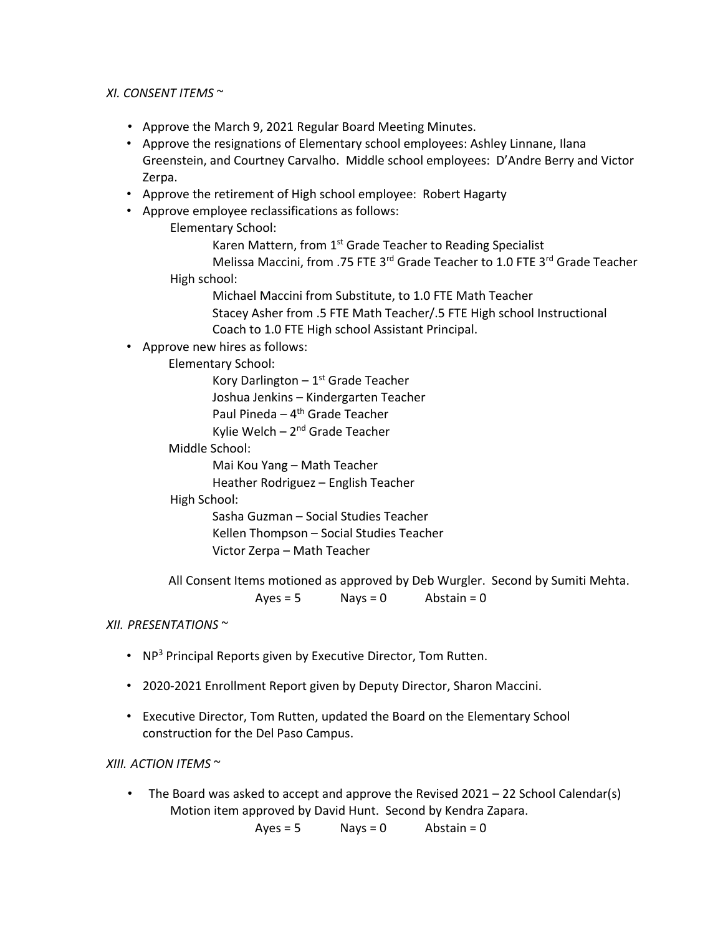## *XI. CONSENT ITEMS* ~

- Approve the March 9, 2021 Regular Board Meeting Minutes.
- Approve the resignations of Elementary school employees: Ashley Linnane, Ilana Greenstein, and Courtney Carvalho. Middle school employees: D'Andre Berry and Victor Zerpa.
- Approve the retirement of High school employee: Robert Hagarty
- Approve employee reclassifications as follows:

Elementary School:

Karen Mattern, from 1<sup>st</sup> Grade Teacher to Reading Specialist Melissa Maccini, from .75 FTE 3<sup>rd</sup> Grade Teacher to 1.0 FTE 3<sup>rd</sup> Grade Teacher

High school:

Michael Maccini from Substitute, to 1.0 FTE Math Teacher Stacey Asher from .5 FTE Math Teacher/.5 FTE High school Instructional Coach to 1.0 FTE High school Assistant Principal.

• Approve new hires as follows:

Elementary School:

Kory Darlington - 1<sup>st</sup> Grade Teacher Joshua Jenkins – Kindergarten Teacher Paul Pineda – 4<sup>th</sup> Grade Teacher

Kylie Welch – 2<sup>nd</sup> Grade Teacher

Middle School:

Mai Kou Yang – Math Teacher

Heather Rodriguez – English Teacher

## High School:

Sasha Guzman – Social Studies Teacher Kellen Thompson – Social Studies Teacher Victor Zerpa – Math Teacher

All Consent Items motioned as approved by Deb Wurgler. Second by Sumiti Mehta.  $Ayes = 5$  Nays = 0 Abstain = 0

## *XII. PRESENTATIONS* ~

- NP<sup>3</sup> Principal Reports given by Executive Director, Tom Rutten.
- 2020-2021 Enrollment Report given by Deputy Director, Sharon Maccini.
- Executive Director, Tom Rutten, updated the Board on the Elementary School construction for the Del Paso Campus.

*XIII. ACTION ITEMS* ~

• The Board was asked to accept and approve the Revised 2021 – 22 School Calendar(s) Motion item approved by David Hunt. Second by Kendra Zapara.

 $Ayes = 5$  Nays = 0 Abstain = 0